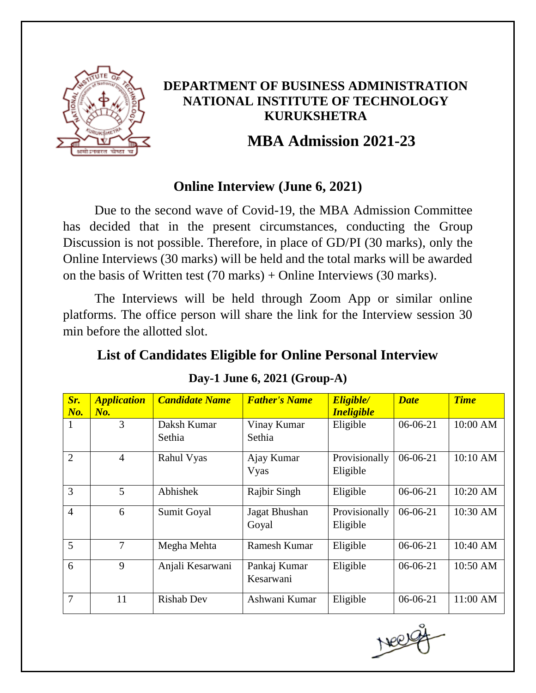

### **DEPARTMENT OF BUSINESS ADMINISTRATION NATIONAL INSTITUTE OF TECHNOLOGY KURUKSHETRA**

# **MBA Admission 2021-23**

## **Online Interview (June 6, 2021)**

Due to the second wave of Covid-19, the MBA Admission Committee has decided that in the present circumstances, conducting the Group Discussion is not possible. Therefore, in place of GD/PI (30 marks), only the Online Interviews (30 marks) will be held and the total marks will be awarded on the basis of Written test (70 marks) + Online Interviews (30 marks).

The Interviews will be held through Zoom App or similar online platforms. The office person will share the link for the Interview session 30 min before the allotted slot.

## **List of Candidates Eligible for Online Personal Interview**

| Sr.<br>$N\!o$ . | <b>Application</b><br>No. | <b>Candidate Name</b> | <b>Father's Name</b>      | Eligible/<br><i><b>Ineligible</b></i> | <b>Date</b> | <b>Time</b> |
|-----------------|---------------------------|-----------------------|---------------------------|---------------------------------------|-------------|-------------|
| 1               | 3                         | Daksh Kumar<br>Sethia | Vinay Kumar<br>Sethia     | Eligible                              | $06-06-21$  | 10:00 AM    |
| $\overline{2}$  | $\overline{4}$            | Rahul Vyas            | Ajay Kumar<br>Vyas        | Provisionally<br>Eligible             | 06-06-21    | 10:10 AM    |
| 3               | $\mathfrak{S}$            | Abhishek              | Rajbir Singh              | Eligible                              | 06-06-21    | 10:20 AM    |
| $\overline{4}$  | 6                         | Sumit Goyal           | Jagat Bhushan<br>Goyal    | Provisionally<br>Eligible             | 06-06-21    | 10:30 AM    |
| 5               | $\tau$                    | Megha Mehta           | Ramesh Kumar              | Eligible                              | $06-06-21$  | 10:40 AM    |
| 6               | 9                         | Anjali Kesarwani      | Pankaj Kumar<br>Kesarwani | Eligible                              | $06-06-21$  | 10:50 AM    |
| 7               | 11                        | <b>Rishab Dev</b>     | Ashwani Kumar             | Eligible                              | $06-06-21$  | 11:00 AM    |

#### **Day-1 June 6, 2021 (Group-A)**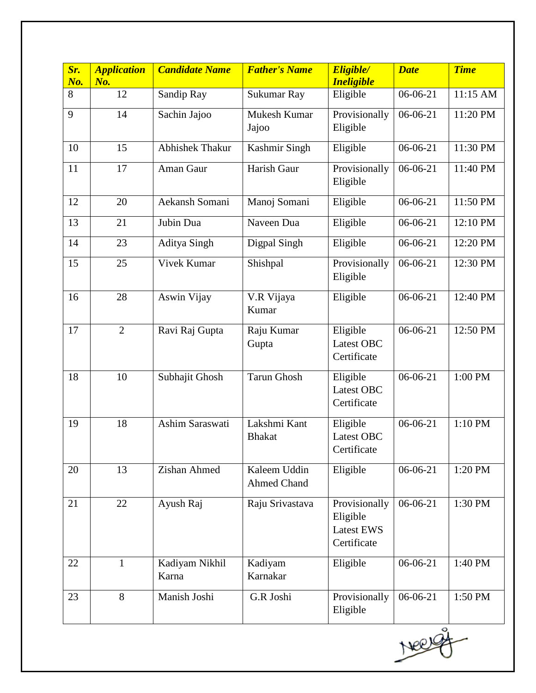| Sr.<br>No. | <b>Application</b><br>No. | <b>Candidate Name</b>   | <b>Father's Name</b>               | Eligible/<br><b>Ineligible</b>                                | <b>Date</b> | <b>Time</b> |
|------------|---------------------------|-------------------------|------------------------------------|---------------------------------------------------------------|-------------|-------------|
| 8          | 12                        | Sandip Ray              | Sukumar Ray                        | Eligible                                                      | 06-06-21    | 11:15 AM    |
| 9          | 14                        | Sachin Jajoo            | Mukesh Kumar<br>Jajoo              | Provisionally<br>Eligible                                     | 06-06-21    | 11:20 PM    |
| 10         | 15                        | Abhishek Thakur         | Kashmir Singh                      | Eligible                                                      | 06-06-21    | 11:30 PM    |
| 11         | 17                        | Aman Gaur               | Harish Gaur                        | Provisionally<br>Eligible                                     | 06-06-21    | 11:40 PM    |
| 12         | 20                        | Aekansh Somani          | Manoj Somani                       | Eligible                                                      | 06-06-21    | 11:50 PM    |
| 13         | 21                        | Jubin Dua               | Naveen Dua                         | Eligible                                                      | 06-06-21    | 12:10 PM    |
| 14         | 23                        | <b>Aditya Singh</b>     | Digpal Singh                       | Eligible                                                      | 06-06-21    | 12:20 PM    |
| 15         | 25                        | Vivek Kumar             | Shishpal                           | Provisionally<br>Eligible                                     | 06-06-21    | 12:30 PM    |
| 16         | 28                        | Aswin Vijay             | V.R Vijaya<br>Kumar                | Eligible                                                      | 06-06-21    | 12:40 PM    |
| 17         | $\overline{2}$            | Ravi Raj Gupta          | Raju Kumar<br>Gupta                | Eligible<br>Latest OBC<br>Certificate                         | 06-06-21    | 12:50 PM    |
| 18         | 10                        | Subhajit Ghosh          | <b>Tarun Ghosh</b>                 | Eligible<br>Latest OBC<br>Certificate                         | 06-06-21    | 1:00 PM     |
| 19         | 18                        | Ashim Saraswati         | Lakshmi Kant<br><b>Bhakat</b>      | Eligible<br>Latest OBC<br>Certificate                         | 06-06-21    | 1:10 PM     |
| 20         | 13                        | Zishan Ahmed            | Kaleem Uddin<br><b>Ahmed Chand</b> | Eligible                                                      | 06-06-21    | 1:20 PM     |
| 21         | 22                        | Ayush Raj               | Raju Srivastava                    | Provisionally<br>Eligible<br><b>Latest EWS</b><br>Certificate | 06-06-21    | 1:30 PM     |
| 22         | $\mathbf{1}$              | Kadiyam Nikhil<br>Karna | Kadiyam<br>Karnakar                | Eligible                                                      | 06-06-21    | 1:40 PM     |
| 23         | 8                         | Manish Joshi            | G.R Joshi                          | Provisionally<br>Eligible                                     | 06-06-21    | 1:50 PM     |

Neer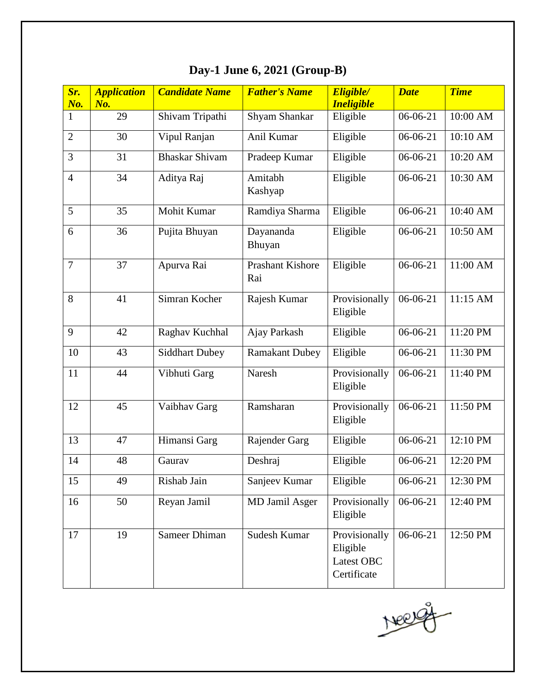| Sr.<br>No.     | <b>Application</b><br>No. | <b>Candidate Name</b> | <b>Father's Name</b>    | Eligible/<br><b>Ineligible</b>                         | <b>Date</b> | <b>Time</b> |
|----------------|---------------------------|-----------------------|-------------------------|--------------------------------------------------------|-------------|-------------|
| $\mathbf{1}$   | 29                        | Shivam Tripathi       | Shyam Shankar           | Eligible                                               | 06-06-21    | 10:00 AM    |
| $\overline{2}$ | 30                        | Vipul Ranjan          | Anil Kumar              | Eligible                                               | 06-06-21    | 10:10 AM    |
| 3              | 31                        | <b>Bhaskar Shivam</b> | Pradeep Kumar           | Eligible                                               | 06-06-21    | 10:20 AM    |
| $\overline{4}$ | 34                        | Aditya Raj            | Amitabh<br>Kashyap      | Eligible                                               | 06-06-21    | 10:30 AM    |
| 5              | 35                        | Mohit Kumar           | Ramdiya Sharma          | Eligible                                               | 06-06-21    | 10:40 AM    |
| 6              | 36                        | Pujita Bhuyan         | Dayananda<br>Bhuyan     | Eligible                                               | 06-06-21    | 10:50 AM    |
| $\overline{7}$ | 37                        | Apurva Rai            | Prashant Kishore<br>Rai | Eligible                                               | 06-06-21    | 11:00 AM    |
| 8              | 41                        | Simran Kocher         | Rajesh Kumar            | Provisionally<br>Eligible                              | 06-06-21    | 11:15 AM    |
| 9              | 42                        | Raghav Kuchhal        | Ajay Parkash            | Eligible                                               | 06-06-21    | 11:20 PM    |
| 10             | 43                        | <b>Siddhart Dubey</b> | <b>Ramakant Dubey</b>   | Eligible                                               | 06-06-21    | 11:30 PM    |
| 11             | 44                        | Vibhuti Garg          | Naresh                  | Provisionally<br>Eligible                              | 06-06-21    | 11:40 PM    |
| 12             | 45                        | Vaibhav Garg          | Ramsharan               | Provisionally<br>Eligible                              | 06-06-21    | 11:50 PM    |
| 13             | 47                        | Himansi Garg          | Rajender Garg           | Eligible                                               | 06-06-21    | 12:10 PM    |
| 14             | 48                        | Gaurav                | Deshraj                 | Eligible                                               | 06-06-21    | 12:20 PM    |
| 15             | 49                        | Rishab Jain           | Sanjeev Kumar           | Eligible                                               | 06-06-21    | 12:30 PM    |
| 16             | 50                        | Reyan Jamil           | MD Jamil Asger          | Provisionally<br>Eligible                              | 06-06-21    | 12:40 PM    |
| 17             | 19                        | Sameer Dhiman         | Sudesh Kumar            | Provisionally<br>Eligible<br>Latest OBC<br>Certificate | 06-06-21    | 12:50 PM    |

# **Day-1 June 6, 2021 (Group-B)**

Neg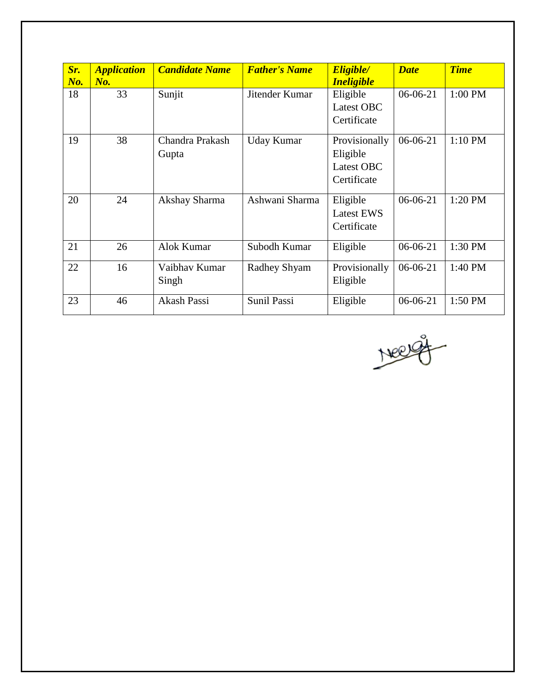| Sr.<br>No. | <b>Application</b><br>No. | <b>Candidate Name</b>    | <b>Father's Name</b> | Eligible/<br><i><b>Ineligible</b></i>                  | <b>Date</b> | <b>Time</b> |
|------------|---------------------------|--------------------------|----------------------|--------------------------------------------------------|-------------|-------------|
| 18         | 33                        | Sunjit                   | Jitender Kumar       | Eligible<br>Latest OBC<br>Certificate                  | 06-06-21    | 1:00 PM     |
| 19         | 38                        | Chandra Prakash<br>Gupta | Uday Kumar           | Provisionally<br>Eligible<br>Latest OBC<br>Certificate | 06-06-21    | 1:10 PM     |
| 20         | 24                        | Akshay Sharma            | Ashwani Sharma       | Eligible<br><b>Latest EWS</b><br>Certificate           | $06-06-21$  | 1:20 PM     |
| 21         | 26                        | Alok Kumar               | Subodh Kumar         | Eligible                                               | 06-06-21    | 1:30 PM     |
| 22         | 16                        | Vaibhav Kumar<br>Singh   | Radhey Shyam         | Provisionally<br>Eligible                              | 06-06-21    | 1:40 PM     |
| 23         | 46                        | Akash Passi              | Sunil Passi          | Eligible                                               | $06-06-21$  | 1:50 PM     |

Neerge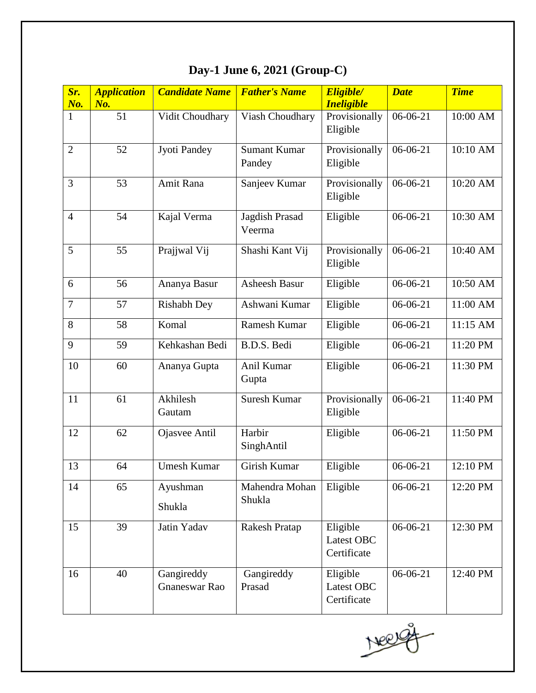| Sr.<br>No.     | <b>Application</b><br>No. | <b>Candidate Name</b>       | <b>Father's Name</b>          | Eligible/<br><b>Ineligible</b>        | <b>Date</b> | <b>Time</b> |
|----------------|---------------------------|-----------------------------|-------------------------------|---------------------------------------|-------------|-------------|
| $\mathbf{1}$   | 51                        | Vidit Choudhary             | Viash Choudhary               | Provisionally<br>Eligible             | $06-06-21$  | 10:00 AM    |
| $\overline{2}$ | 52                        | Jyoti Pandey                | <b>Sumant Kumar</b><br>Pandey | Provisionally<br>Eligible             | $06-06-21$  | 10:10 AM    |
| 3              | 53                        | Amit Rana                   | Sanjeev Kumar                 | Provisionally<br>Eligible             | $06-06-21$  | 10:20 AM    |
| $\overline{4}$ | 54                        | Kajal Verma                 | Jagdish Prasad<br>Veerma      | Eligible                              | 06-06-21    | 10:30 AM    |
| 5              | 55                        | Prajjwal Vij                | Shashi Kant Vij               | Provisionally<br>Eligible             | $06-06-21$  | 10:40 AM    |
| 6              | 56                        | Ananya Basur                | <b>Asheesh Basur</b>          | Eligible                              | $06-06-21$  | 10:50 AM    |
| $\tau$         | 57                        | <b>Rishabh Dey</b>          | Ashwani Kumar                 | Eligible                              | 06-06-21    | 11:00 AM    |
| 8              | 58                        | Komal                       | Ramesh Kumar                  | Eligible                              | $06-06-21$  | 11:15 AM    |
| 9              | 59                        | Kehkashan Bedi              | B.D.S. Bedi                   | Eligible                              | $06-06-21$  | 11:20 PM    |
| 10             | 60                        | Ananya Gupta                | Anil Kumar<br>Gupta           | Eligible                              | $06-06-21$  | 11:30 PM    |
| 11             | 61                        | Akhilesh<br>Gautam          | <b>Suresh Kumar</b>           | Provisionally<br>Eligible             | $06-06-21$  | 11:40 PM    |
| 12             | 62                        | Ojasvee Antil               | Harbir<br>SinghAntil          | Eligible                              | 06-06-21    | 11:50 PM    |
| 13             | 64                        | <b>Umesh Kumar</b>          | Girish Kumar                  | Eligible                              | $06-06-21$  | 12:10 PM    |
| 14             | 65                        | Ayushman<br>Shukla          | Mahendra Mohan<br>Shukla      | Eligible                              | 06-06-21    | 12:20 PM    |
| 15             | 39                        | Jatin Yadav                 | <b>Rakesh Pratap</b>          | Eligible<br>Latest OBC<br>Certificate | 06-06-21    | 12:30 PM    |
| 16             | 40                        | Gangireddy<br>Gnaneswar Rao | Gangireddy<br>Prasad          | Eligible<br>Latest OBC<br>Certificate | 06-06-21    | 12:40 PM    |

# **Day-1 June 6, 2021 (Group-C)**

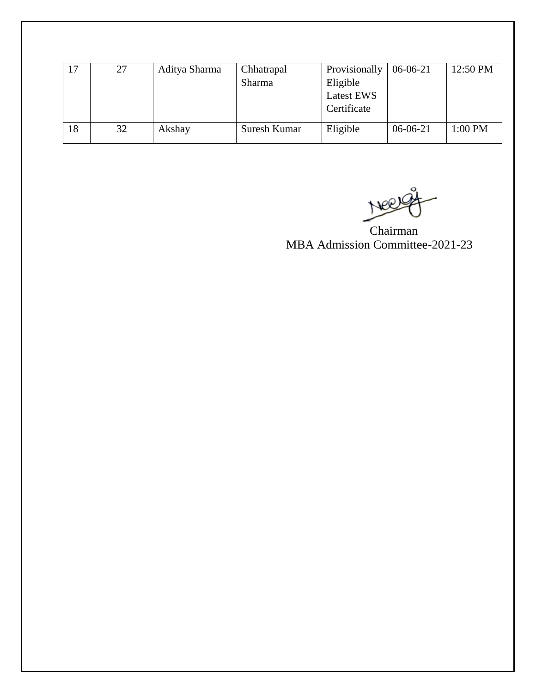|    | 27 | Aditya Sharma | Chhatrapal<br>Sharma | Provisionally<br>Eligible<br>Latest EWS<br>Certificate | 06-06-21   | 12:50 PM  |
|----|----|---------------|----------------------|--------------------------------------------------------|------------|-----------|
| 18 | 32 | Akshay        | Suresh Kumar         | Eligible                                               | $06-06-21$ | $1:00$ PM |

Neergy

Chairman MBA Admission Committee-2021-23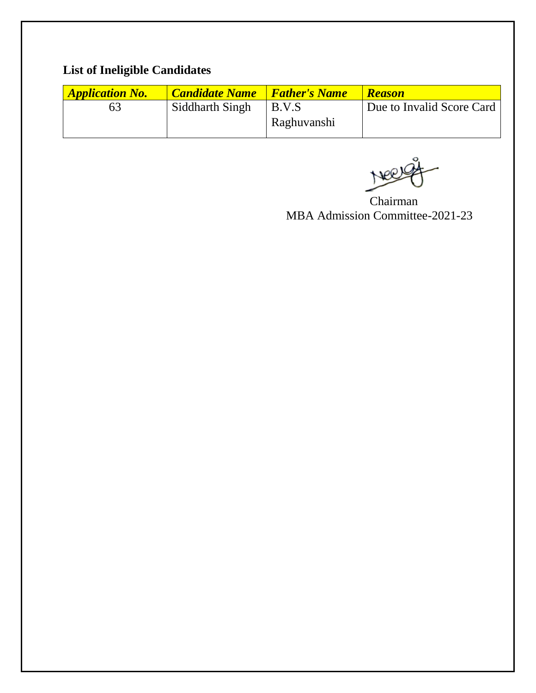## **List of Ineligible Candidates**

| <b>Application No.</b> | <b>Candidate Name</b> | <i><b>Father's Name</b></i> | <b>Reason</b>             |
|------------------------|-----------------------|-----------------------------|---------------------------|
| 63                     | Siddharth Singh       | B.V.S                       | Due to Invalid Score Card |
|                        |                       | Raghuvanshi                 |                           |

Chairman MBA Admission Committee-2021-23